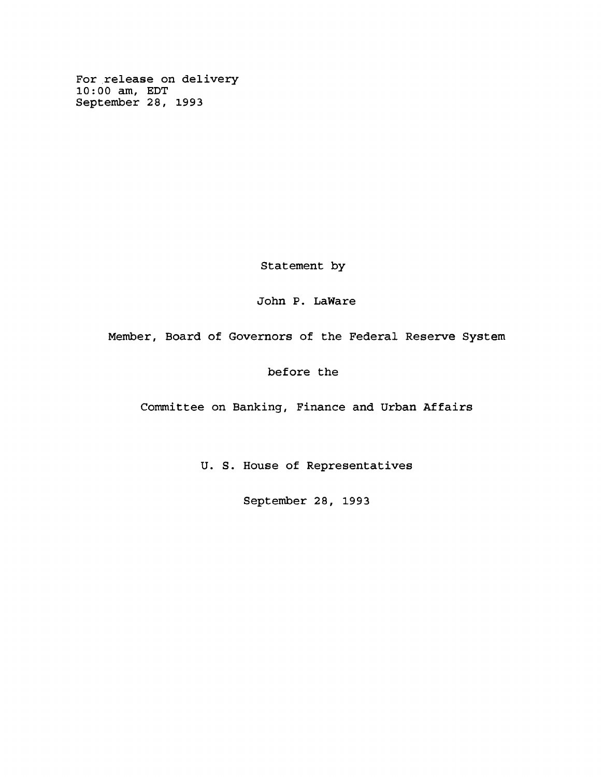**For release on delivery 10:00 am, EDT September 28, 1993**

**Statement by**

**John P. LaWare**

**Member, Board of Governors of the Federal Reserve System**

**before the**

**Committee on Banking, Finance and Urban Affairs**

**U. S. House of Representatives**

**September 28, 1993**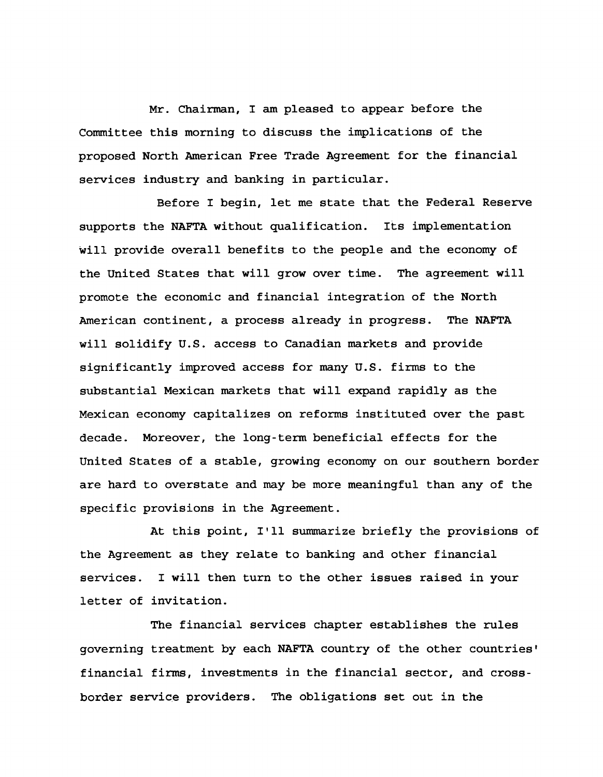**Mr. Chairman, I am pleased to appear before the Committee this morning to discuss the implications of the proposed North American Free Trade Agreement for the financial services industry and banking in particular.**

**Before I begin, let me state that the Federal Reserve supports the NAFTA without qualification. Its implementation will provide overall benefits to the people and the economy of the United States that will grow over time. The agreement will promote the economic and financial integration of the North American continent, a process already in progress. The NAFTA will solidify U.S. access to Canadian markets and provide significantly improved access for many U.S. firms to the substantial Mexican markets that will expand rapidly as the Mexican economy capitalizes on reforms instituted over the past decade. Moreover, the long-term beneficial effects for the United States of a stable, growing economy on our southern border are hard to overstate and may be more meaningful than any of the specific provisions in the Agreement.**

**At this point, I'll summarize briefly the provisions of the Agreement as they relate to banking and other financial services. I will then turn to the other issues raised in your letter of invitation.**

**The financial services chapter establishes the rules governing treatment by each NAFTA country of the other countries' financial firms, investments in the financial sector, and crossborder service providers. The obligations set out in the**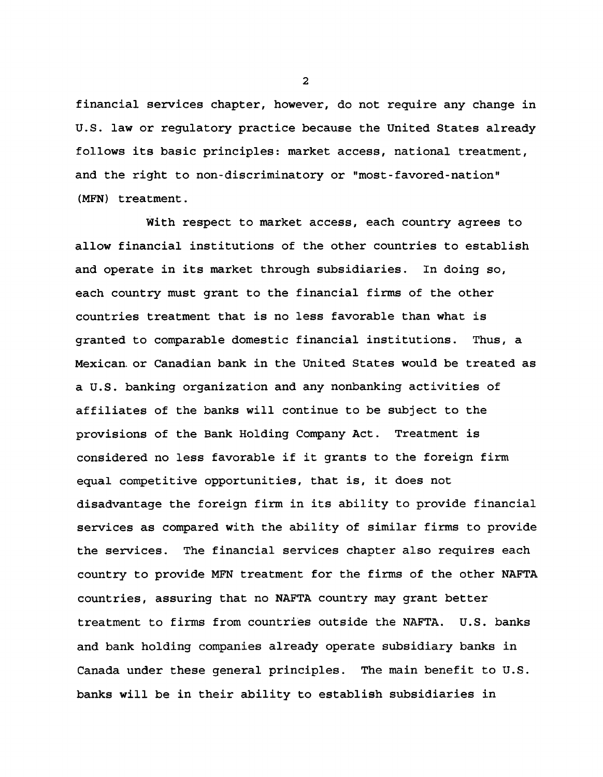**financial services chapter, however, do not require any change in U.S. law or regulatory practice because the United States already follows its basic principles: market access, national treatment, and the right to non-discriminatory or "most-favored-nation" (MFN) treatment.**

**With respect to market access, each country agrees to allow financial institutions of the other countries to establish and operate in its market through subsidiaries. In doing so, each country must grant to the financial firms of the other countries treatment that is no less favorable than what is granted to comparable domestic financial institutions. Thus, a Mexican, or Canadian bank in the United States would be treated as a U.S. banking organization and any nonbanking activities of affiliates of the banks will continue to be subject to the provisions of the Bank Holding Company Act. Treatment is considered no less favorable if it grants to the foreign firm equal competitive opportunities, that is, it does not disadvantage the foreign firm in its ability to provide financial services as compared with the ability of similar firms to provide the services. The financial services chapter also requires each country to provide MFN treatment for the firms of the other NAFTA countries, assuring that no NAFTA country may grant better treatment to firms from countries outside the NAFTA. U.S. banks and bank holding companies already operate subsidiary banks in Canada under these general principles. The main benefit to U.S. banks will be in their ability to establish subsidiaries in**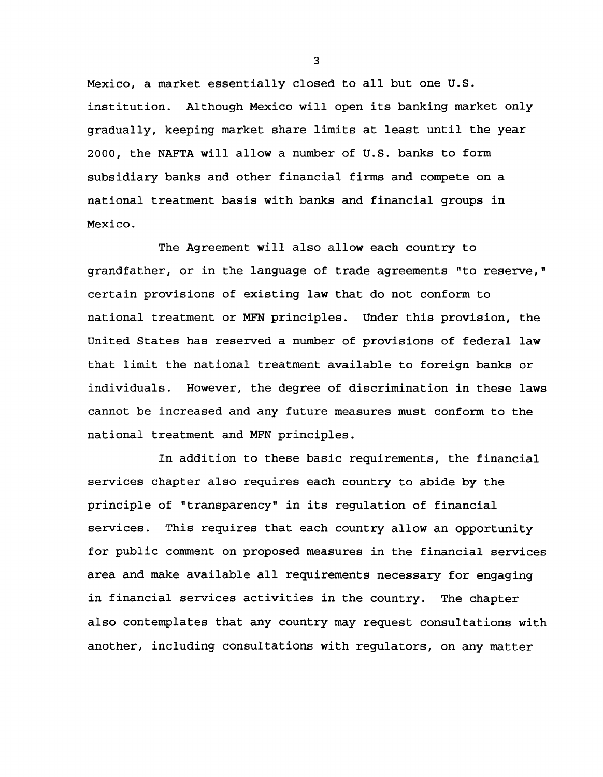**Mexico, a market essentially closed to all but one U.S. institution. Although Mexico will open its banking market only gradually, keeping market share limits at least until the year 2000, the NAFTA will allow a number of U.S. banks to form subsidiary banks and other financial firms and compete on a national treatment basis with banks and financial groups in Mexico.**

**The Agreement will also allow each country to** grandfather, or in the language of trade agreements "to reserve," **certain provisions of existing law that do not conform to national treatment or MFN principles. Under this provision, the United States has reserved a number of provisions of federal law that limit the national treatment available to foreign banks or individuals. However, the degree of discrimination in these laws cannot be increased and any future measures must conform to the national treatment and MFN principles.**

**In addition to these basic requirements, the financial services chapter also requires each country to abide by the principle of "transparency" in its regulation of financial services. This requires that each country allow an opportunity for public comment on proposed measures in the financial services area and make available all requirements necessary for engaging in financial services activities in the country. The chapter also contemplates that any country may request consultations with another, including consultations with regulators, on any matter**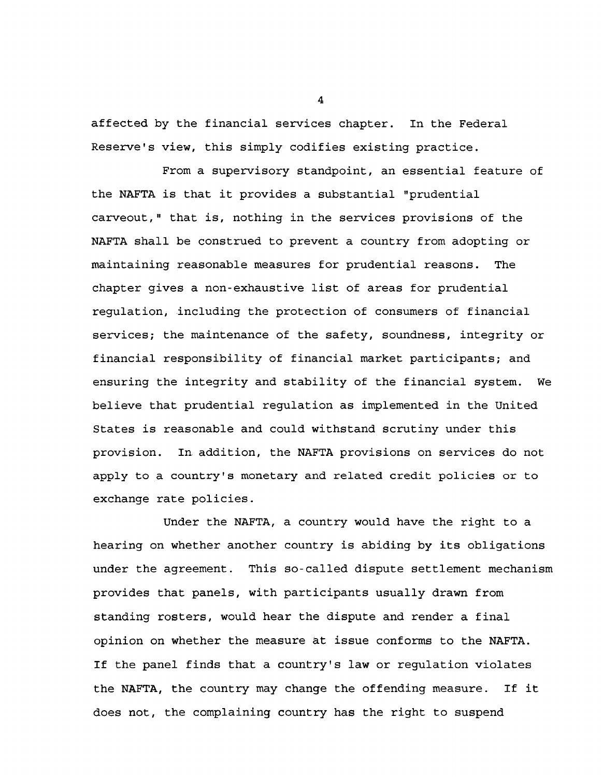**affected by the financial services chapter. In the Federal Reserve's view, this simply codifies existing practice.**

**From a supervisory standpoint, an essential feature of the NAFTA is that it provides a substantial "prudential carveout," that is, nothing in the services provisions of the NAFTA shall be construed to prevent a country from adopting or maintaining reasonable measures for prudential reasons. The chapter gives a non-exhaustive list of areas for prudential regulation, including the protection of consumers of financial services; the maintenance of the safety, soundness, integrity or financial responsibility of financial market participants; and ensuring the integrity and stability of the financial system. We believe that prudential regulation as implemented in the United States is reasonable and could withstand scrutiny under this provision. In addition, the NAFTA provisions on services do not apply to a country's monetary and related credit policies or to exchange rate policies.**

**Under the NAFTA, a country would have the right to a hearing on whether another country is abiding by its obligations under the agreement. This so-called dispute settlement mechanism provides that panels, with participants usually drawn from standing rosters, would hear the dispute and render a final opinion on whether the measure at issue conforms to the NAFTA. If the panel finds that a country's law or regulation violates the NAFTA, the country may change the offending measure. If it does not, the complaining country has the right to suspend**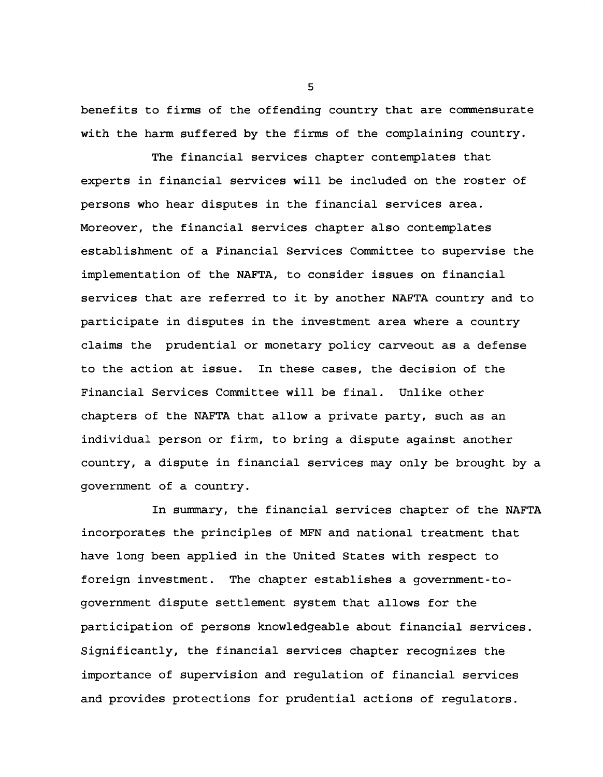**benefits to firms of the offending country that are commensurate with the harm suffered by the firms of the complaining country.**

**The financial services chapter contemplates that experts in financial services will be included on the roster of persons who hear disputes in the financial services area. Moreover, the financial services chapter also contemplates establishment of a Financial Services Committee to supervise the implementation of the NAFTA, to consider issues on financial services that are referred to it by another NAFTA country and to participate in disputes in the investment area where a country claims the prudential or monetary policy carveout as a defense to the action at issue. In these cases, the decision of the Financial Services Committee will be final. Unlike other chapters of the NAFTA that allow a private party, such as an individual person or firm, to bring a dispute against another country, a dispute in financial services may only be brought by a government of a country.**

**In summary, the financial services chapter of the NAFTA incorporates the principles of MFN and national treatment that have long been applied in the United States with respect to foreign investment. The chapter establishes a government-togovernment dispute settlement system that allows for the participation of persons knowledgeable about financial services. Significantly, the financial services chapter recognizes the importance of supervision and regulation of financial services and provides protections for prudential actions of regulators.**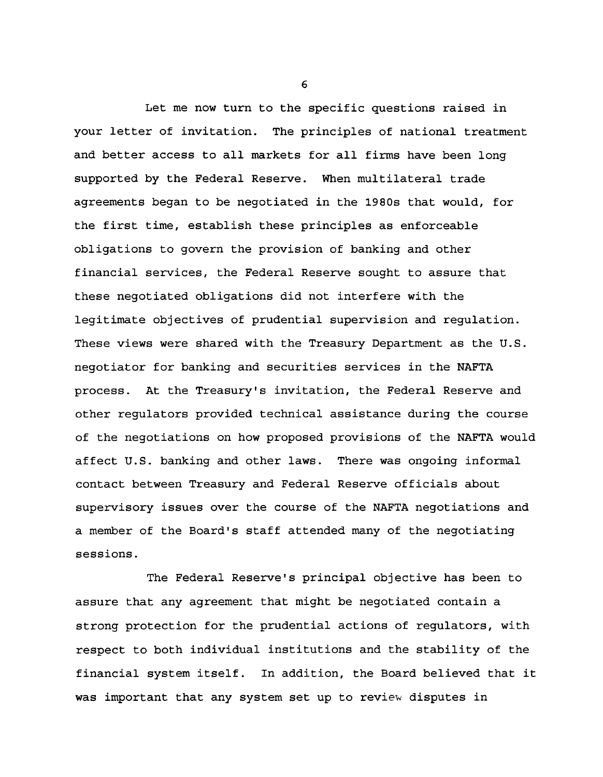**Let me now turn to the specific questions raised in your letter of invitation. The principles of national treatment and better access to all markets for all firms have been long supported by the Federal Reserve. When multilateral trade agreements began to be negotiated in the 1980s that would, for the first time, establish these principles as enforceable obligations to govern the provision of banking and other financial services, the Federal Reserve sought to assure that these negotiated obligations did not interfere with the legitimate objectives of prudential supervision and regulation. These views were shared with the Treasury Department as the U.S. negotiator for banking and securities services in the NAFTA process. At the Treasury's invitation, the Federal Reserve and other regulators provided technical assistance during the course of the negotiations on how proposed provisions of the NAFTA would affect U.S. banking and other laws. There was ongoing informal contact between Treasury and Federal Reserve officials about supervisory issues over the course of the NAFTA negotiations and a member of the Board's staff attended many of the negotiating sessions.**

**The Federal Reserve's principal objective has been to assure that any agreement that might be negotiated contain a strong protection for the prudential actions of regulators, with respect to both individual institutions and the stability of the financial system itself. In addition, the Board believed that it was important that any system set up to review disputes in**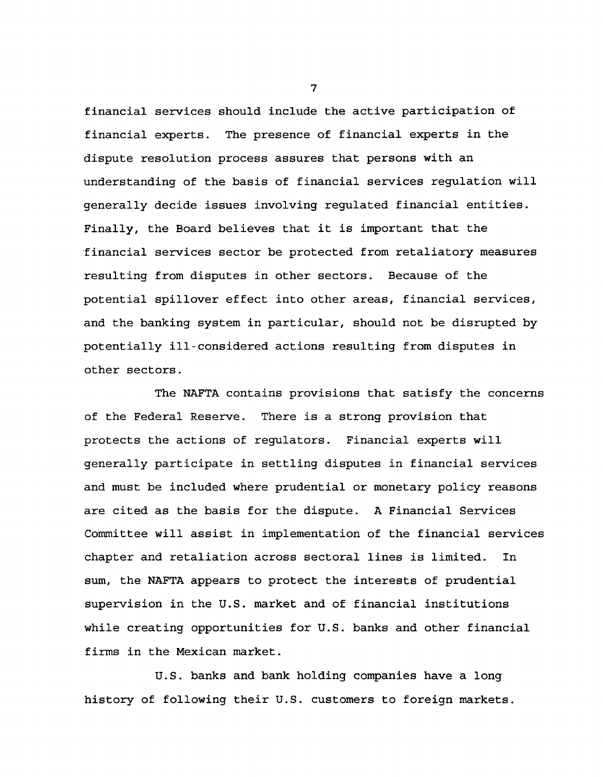**financial services should include the active participation of financial experts. The presence of financial experts in the dispute resolution process assures that persons with an understanding of the basis of financial services regulation will generally decide issues involving regulated financial entities. Finally, the Board believes that it is important that the financial services sector be protected from retaliatory measures resulting from disputes in other sectors. Because of the potential spillover effect into other areas, financial services, and the banking system in particular, should not be disrupted by potentially ill-considered actions resulting from disputes in other sectors.**

**The NAFTA contains provisions that satisfy the concerns of the Federal Reserve. There is a strong provision that protects the actions of regulators. Financial experts will generally participate in settling disputes in financial services and must be included where prudential or monetary policy reasons are cited as the basis for the dispute. A Financial Services Committee will assist in implementation of the financial services chapter and retaliation across sectoral lines is limited. In sum, the NAFTA appears to protect the interests of prudential supervision in the U.S. market and of financial institutions while creating opportunities for U.S. banks and other financial firms in the Mexican market.**

**U.S. banks and bank holding companies have a long history of following their U.S. customers to foreign markets.**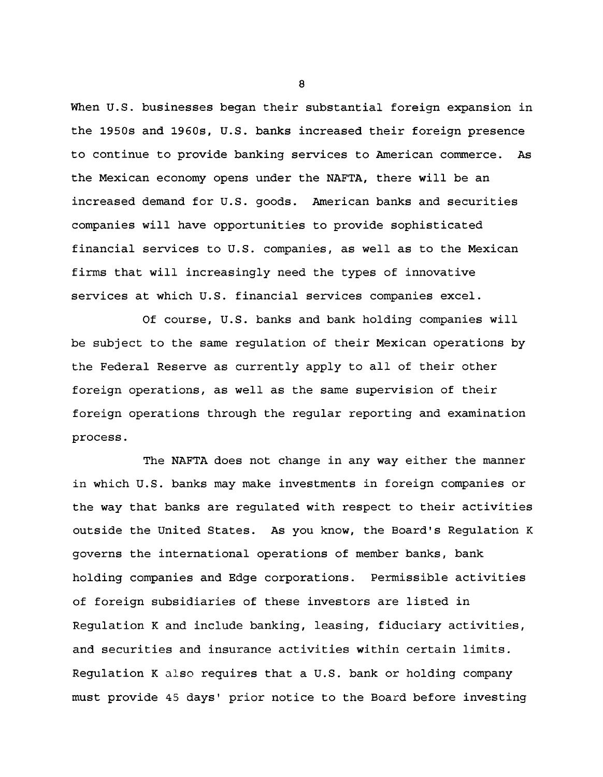**When U.S. businesses began their substantial foreign expansion in the 1950s and 1960s, U.S. banks increased their foreign presence to continue to provide banking services to American commerce. As the Mexican economy opens under the NAFTA, there will be an increased demand for U.S. goods. American banks and securities companies will have opportunities to provide sophisticated financial services to U.S. companies, as well as to the Mexican firms that will increasingly need the types of innovative services at which U.S. financial services companies excel.**

**Of course, U.S. banks and bank holding companies will be subject to the same regulation of their Mexican operations by the Federal Reserve as currently apply to all of their other foreign operations, as well as the same supervision of their foreign operations through the regular reporting and examination process.**

**The NAFTA does not change in any way either the manner in which U.S. banks may make investments in foreign companies or the way that banks are regulated with respect to their activities outside the United States. As you know, the Board's Regulation K governs the international operations of member banks, bank holding companies and Edge corporations. Permissible activities of foreign subsidiaries of these investors are listed in Regulation K and include banking, leasing, fiduciary activities, and securities and insurance activities within certain limits. Regulation K also requires that a U.S. bank or holding company must provide 45 days' prior notice to the Board before investing**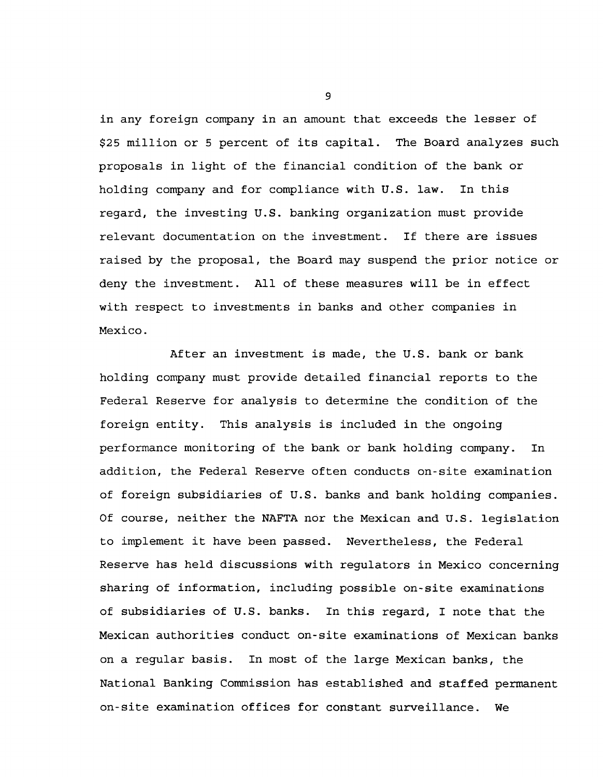**in any foreign company in an amount that exceeds the lesser of \$25 million or 5 percent of its capital. The Board analyzes such proposals in light of the financial condition of the bank or holding company and for compliance with U.S. law. In this regard, the investing U.S. banking organization must provide relevant documentation on the investment. If there are issues raised by the proposal, the Board may suspend the prior notice or deny the investment. All of these measures will be in effect with respect to investments in banks and other companies in Mexico.**

**After an investment is made, the U.S. bank or bank holding company must provide detailed financial reports to the Federal Reserve for analysis to determine the condition of the foreign entity. This analysis is included in the ongoing performance monitoring of the bank or bank holding company. In addition, the Federal Reserve often conducts on-site examination of foreign subsidiaries of U.S. banks and bank holding companies. Of course, neither the NAFTA nor the Mexican and U.S. legislation to implement it have been passed. Nevertheless, the Federal Reserve has held discussions with regulators in Mexico concerning sharing of information, including possible on-site examinations of subsidiaries of U.S. banks. In this regard, I note that the Mexican authorities conduct on-site examinations of Mexican banks on a regular basis. In most of the large Mexican banks, the National Banking Commission has established and staffed permanent on-site examination offices for constant surveillance. We**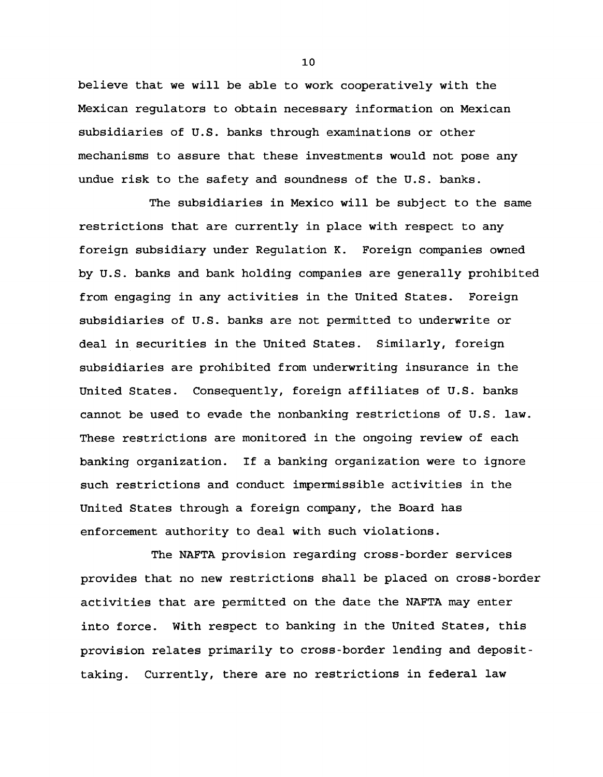**believe that we will be able to work cooperatively with the Mexican regulators to obtain necessary information on Mexican subsidiaries of U.S. banks through examinations or other mechanisms to assure that these investments would not pose any undue risk to the safety and soundness of the U.S. banks.**

**The subsidiaries in Mexico will be subject to the same restrictions that are currently in place with respect to any foreign subsidiary under Regulation K. Foreign companies owned by U.S. banks and bank holding companies are generally prohibited from engaging in any activities in the United States. Foreign subsidiaries of U.S. banks are not permitted to underwrite or deal in securities in the United States. Similarly, foreign subsidiaries are prohibited from underwriting insurance in the United States. Consequently, foreign affiliates of U.S. banks cannot be used to evade the nonbanking restrictions of U.S. law. These restrictions are monitored in the ongoing review of each banking organization. If a banking organization were to ignore such restrictions and conduct impermissible activities in the United States through a foreign company, the Board has enforcement authority to deal with such violations.**

**The NAFTA provision regarding cross-border services provides that no new restrictions shall be placed on cross-border activities that are permitted on the date the NAFTA may enter into force. With respect to banking in the United States, this provision relates primarily to cross-border lending and deposittaking. Currently, there are no restrictions in federal law**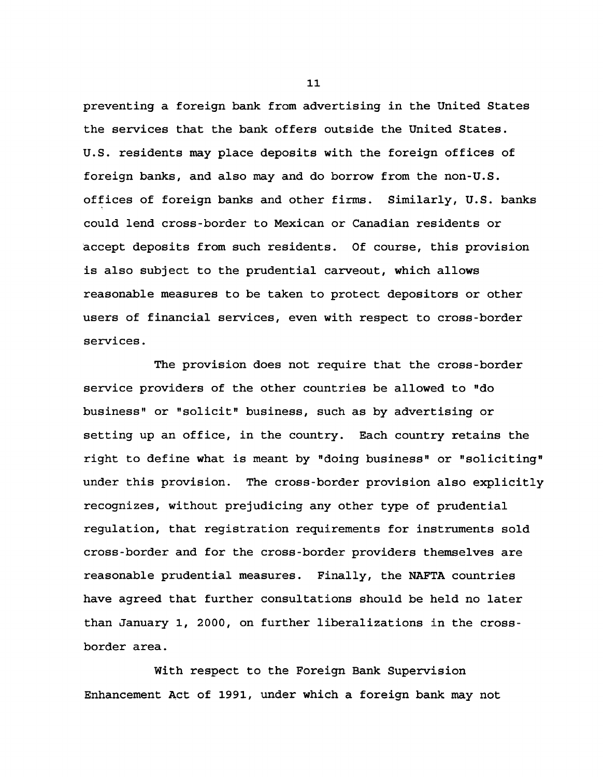**preventing a foreign bank from advertising in the United States the services that the bank offers outside the United States. U.S. residents may place deposits with the foreign offices of foreign banks, and also may and do borrow from the non-U.S. offices of foreign banks and other firms. Similarly, U.S. banks could lend cross-border to Mexican or Canadian residents or accept deposits from such residents. Of course, this provision is also subject to the prudential carveout, which allows reasonable measures to be taken to protect depositors or other users of financial services, even with respect to cross-border services.**

**The provision does not require that the cross-border service providers of the other countries be allowed to "do business" or "solicit" business, such as by advertising or setting up an office, in the country. Each country retains the right to define what is meant by "doing business" or "soliciting" under this provision. The cross-border provision also explicitly recognizes, without prejudicing any other type of prudential regulation, that registration requirements for instruments sold cross-border and for the cross-border providers themselves are reasonable prudential measures. Finally, the NAFTA countries have agreed that further consultations should be held no later than January 1, 2000, on further liberalizations in the crossborder area.**

**With respect to the Foreign Bank Supervision Enhancement Act of 1991, under which a foreign bank may not**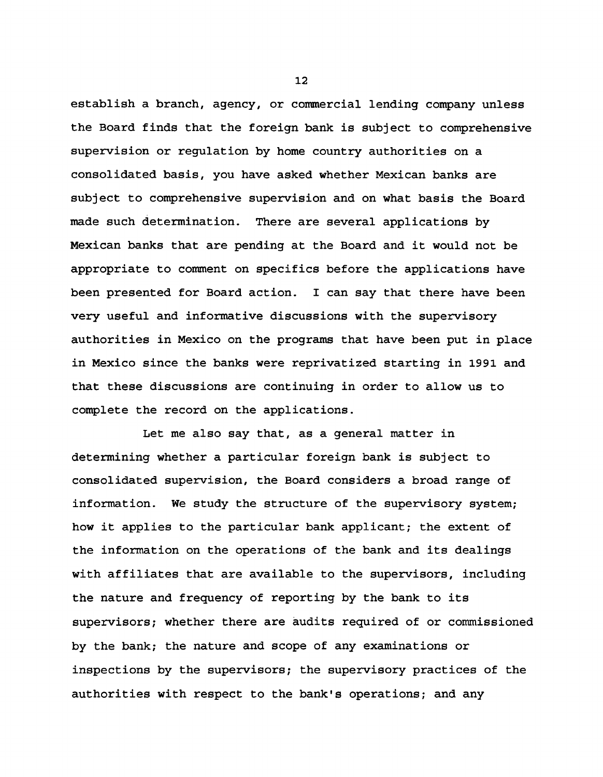**establish a branch, agency, or commercial lending company unless the Board finds that the foreign bank is subject to comprehensive supervision or regulation by home country authorities on a consolidated basis, you have asked whether Mexican banks are subject to comprehensive supervision and on what basis the Board made such determination. There are several applications by Mexican banks that are pending at the Board and it would not be appropriate to comment on specifics before the applications have been presented for Board action. I can say that there have been very useful and informative discussions with the supervisory authorities in Mexico on the programs that have been put in place in Mexico since the banks were reprivatized starting in 1991 and that these discussions are continuing in order to allow us to complete the record on the applications.**

**Let me also say that, as a general matter in determining whether a particular foreign bank is subject to consolidated supervision, the Board considers a broad range of information. We study the structure of the supervisory system; how it applies to the particular bank applicant; the extent of the information on the operations of the bank and its dealings with affiliates that are available to the supervisors, including the nature and frequency of reporting by the bank to its supervisors; whether there are audits required of or commissioned by the bank; the nature and scope of any examinations or inspections by the supervisors; the supervisory practices of the authorities with respect to the bank's operations; and any**